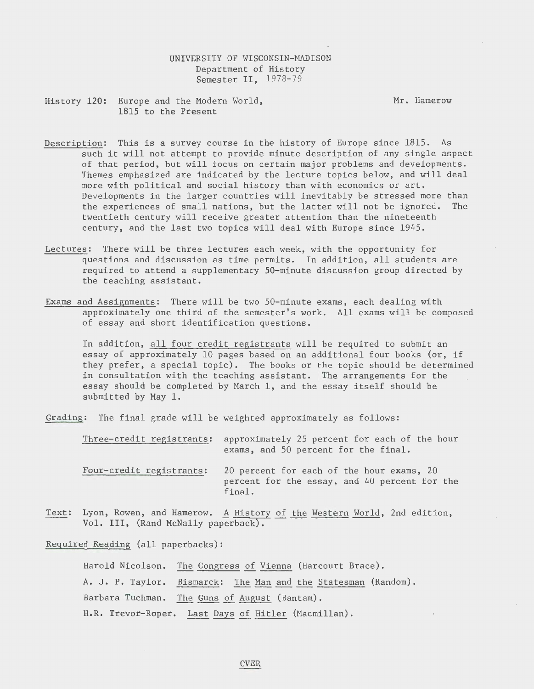## UNIVERSITY OF WISCONSIN-MADISON Department of History Semester II, 1978-79

History 120: Europe and the Modern World, 1815 to the Present

Mr. Hamerow

- Description: This is a survey course in the history of Europe since 1815. As such it will not attempt to provide minute description of any single aspect of that period, but will focus on certain major problems and developments. Themes emphasized are indicated by the lecture topics below, and will deal more with political and social history than with economics or art. Developments in the larger countries will inevitably be stressed more than the experiences of small nations, but the latter will not be ignored. The twentieth century will receive greater attention than the nineteenth century, and the last two topics will deal with Europe since 1945.
- Lectures: There will be three lectures each week, with the opportunity for questions and discussion as time permits. In addition, all students are required to attend a supplementary 50-minute discussion group directed by the teaching assistant.
- Exams and Assignments: There will be two 50-minute exams, each dealing with approximately one third of the semester's work. All exams will be composed of essay and short identification questions.

In addition, all four credit registrants will be required to submit an essay of approximately 10 pages based on an additional four books (or, if they prefer, a special topic). The books or the topic should be determined in consultation with the teaching assistant. The arrangements for the essay should be completed by March 1, and the essay itself should be submitted by May 1.

Grading: The final grade will be weighted approximately as follows:

| Three-credit registrants: | approximately 25 percent for each of the hour<br>exams, and 50 percent for the final.                |
|---------------------------|------------------------------------------------------------------------------------------------------|
| Four-credit registrants:  | 20 percent for each of the hour exams, 20<br>percent for the essay, and 40 percent for the<br>final. |

Text: Lyon, Rowen, and Hamerow. A History of the Western World, 2nd edition, Vol. III, (Rand McNally paperback).

Required Reading (all paperbacks):

Harold Nicolson. The Congress of Vienna (Harcourt Brace). A. J. P. Taylor. Bismarck: The Man and the Statesman (Random). Barbara Tuchman. The Guns of August (Bantam). H.R. Trevor-Roper. Last Days of Hitler (Macmillan).